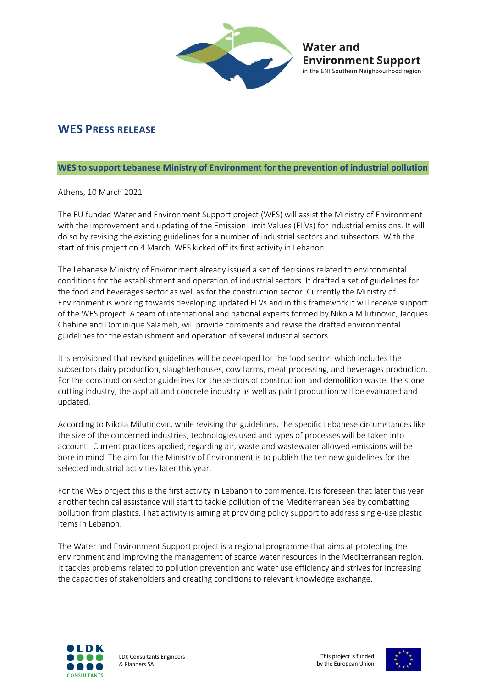

**Water and** 

**Environment Support** in the ENI Southern Neighbourhood region

## **WES PRESS RELEASE**

## **WES to support Lebanese Ministry of Environment for the prevention of industrial pollution**

Athens, 10 March 2021

The EU funded Water and Environment Support project (WES) will assist the Ministry of Environment with the improvement and updating of the Emission Limit Values (ELVs) for industrial emissions. It will do so by revising the existing guidelines for a number of industrial sectors and subsectors. With the start of this project on 4 March, WES kicked off its first activity in Lebanon.

The Lebanese Ministry of Environment already issued a set of decisions related to environmental conditions for the establishment and operation of industrial sectors. It drafted a set of guidelines for the food and beverages sector as well as for the construction sector. Currently the Ministry of Environment is working towards developing updated ELVs and in this framework it will receive support of the WES project. A team of international and national experts formed by Nikola Milutinovic, Jacques Chahine and Dominique Salameh, will provide comments and revise the drafted environmental guidelines for the establishment and operation of several industrial sectors.

It is envisioned that revised guidelines will be developed for the food sector, which includes the subsectors dairy production, slaughterhouses, cow farms, meat processing, and beverages production. For the construction sector guidelines for the sectors of construction and demolition waste, the stone cutting industry, the asphalt and concrete industry as well as paint production will be evaluated and updated.

According to Nikola Milutinovic, while revising the guidelines, the specific Lebanese circumstances like the size of the concerned industries, technologies used and types of processes will be taken into account. Current practices applied, regarding air, waste and wastewater allowed emissions will be bore in mind. The aim for the Ministry of Environment is to publish the ten new guidelines for the selected industrial activities later this year.

For the WES project this is the first activity in Lebanon to commence. It is foreseen that later this year another technical assistance will start to tackle pollution of the Mediterranean Sea by combatting pollution from plastics. That activity is aiming at providing policy support to address single-use plastic items in Lebanon.

The Water and Environment Support project is a regional programme that aims at protecting the environment and improving the management of scarce water resources in the Mediterranean region. It tackles problems related to pollution prevention and water use efficiency and strives for increasing the capacities of stakeholders and creating conditions to relevant knowledge exchange.